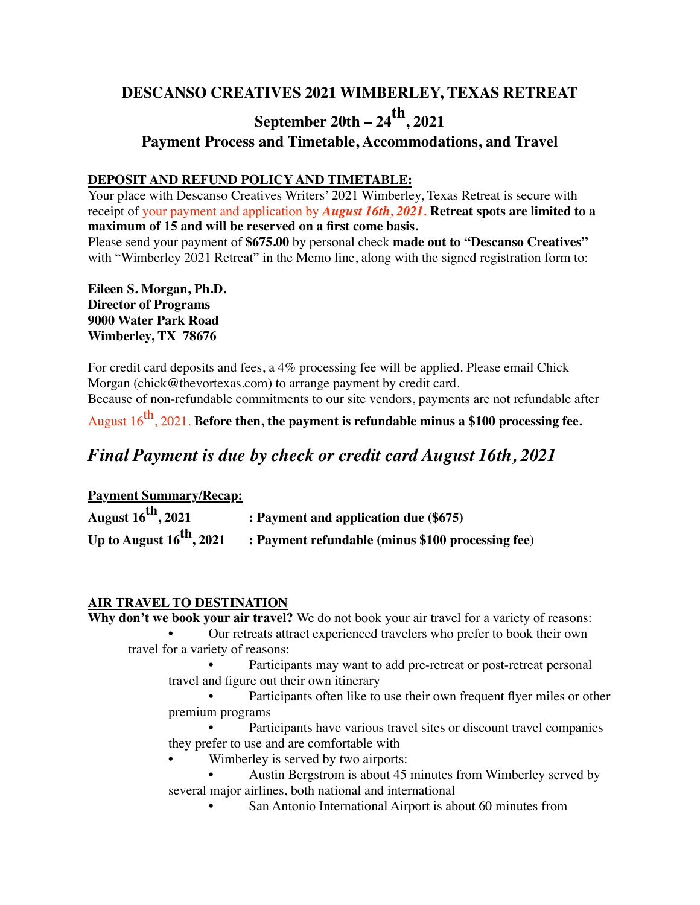# **DESCANSO CREATIVES 2021 WIMBERLEY, TEXAS RETREAT**

## **September 20th – 24th, 2021**

### **Payment Process and Timetable, Accommodations, and Travel**

#### **DEPOSIT AND REFUND POLICY AND TIMETABLE:**

Your place with Descanso Creatives Writers' 2021 Wimberley, Texas Retreat is secure with receipt of your payment and application by *August 16th, 2021.* **Retreat spots are limited to a maximum of 15 and will be reserved on a first come basis.**

Please send your payment of **\$675.00** by personal check **made out to "Descanso Creatives"**  with "Wimberley 2021 Retreat" in the Memo line, along with the signed registration form to:

**Eileen S. Morgan, Ph.D. Director of Programs 9000 Water Park Road Wimberley, TX 78676**

For credit card deposits and fees, a 4% processing fee will be applied. Please email Chick Morgan (chick@thevortexas.com) to arrange payment by credit card.

Because of non-refundable commitments to our site vendors, payments are not refundable after

August 16<sup>th</sup>, 2021. **Before then, the payment is refundable minus a \$100 processing fee.** 

## *Final Payment is due by check or credit card August 16th, 2021*

| <b>Payment Summary/Recap:</b>        |                                                   |
|--------------------------------------|---------------------------------------------------|
| August $16^{th}$ , 2021              | : Payment and application due (\$675)             |
| Up to August $16^{\text{th}}$ , 2021 | : Payment refundable (minus \$100 processing fee) |

#### **AIR TRAVEL TO DESTINATION**

**Why don't we book your air travel?** We do not book your air travel for a variety of reasons:

- Our retreats attract experienced travelers who prefer to book their own travel for a variety of reasons:
	- Participants may want to add pre-retreat or post-retreat personal travel and figure out their own itinerary
	- Participants often like to use their own frequent flyer miles or other premium programs
	- Participants have various travel sites or discount travel companies they prefer to use and are comfortable with
	- Wimberley is served by two airports:
	- Austin Bergstrom is about 45 minutes from Wimberley served by several major airlines, both national and international
		- San Antonio International Airport is about 60 minutes from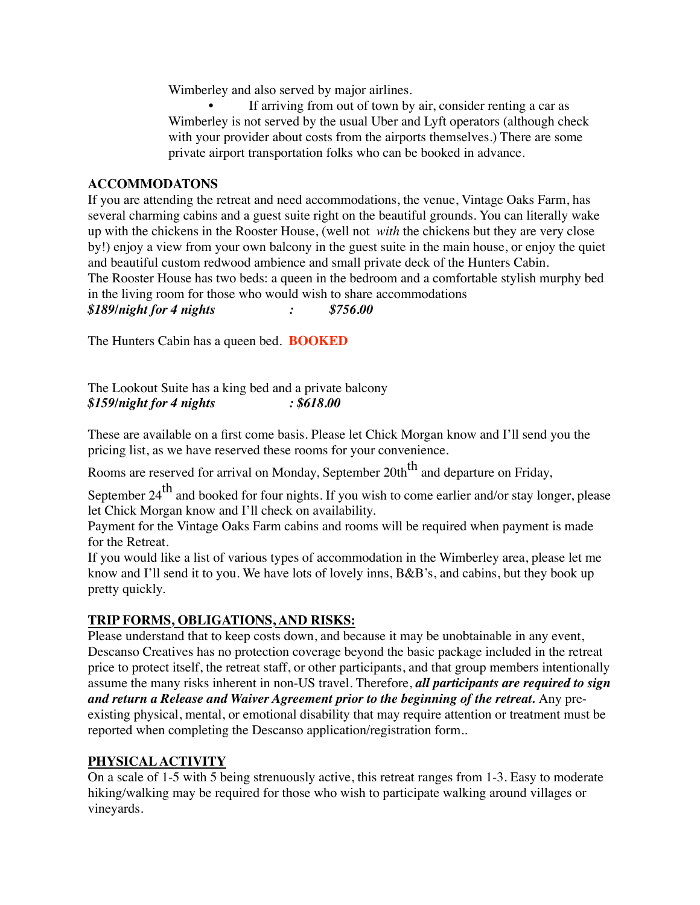Wimberley and also served by major airlines.

If arriving from out of town by air, consider renting a car as Wimberley is not served by the usual Uber and Lyft operators (although check with your provider about costs from the airports themselves.) There are some private airport transportation folks who can be booked in advance.

#### **ACCOMMODATONS**

If you are attending the retreat and need accommodations, the venue, Vintage Oaks Farm, has several charming cabins and a guest suite right on the beautiful grounds. You can literally wake up with the chickens in the Rooster House, (well not *with* the chickens but they are very close by!) enjoy a view from your own balcony in the guest suite in the main house, or enjoy the quiet and beautiful custom redwood ambience and small private deck of the Hunters Cabin. The Rooster House has two beds: a queen in the bedroom and a comfortable stylish murphy bed in the living room for those who would wish to share accommodations *\$189/night for 4 nights : \$756.00*

The Hunters Cabin has a queen bed. **BOOKED**

The Lookout Suite has a king bed and a private balcony *\$159/night for 4 nights : \$618.00*

These are available on a first come basis. Please let Chick Morgan know and I'll send you the pricing list, as we have reserved these rooms for your convenience.

Rooms are reserved for arrival on Monday, September 20th<sup>th</sup> and departure on Friday,

September  $24<sup>th</sup>$  and booked for four nights. If you wish to come earlier and/or stay longer, please let Chick Morgan know and I'll check on availability.

Payment for the Vintage Oaks Farm cabins and rooms will be required when payment is made for the Retreat.

If you would like a list of various types of accommodation in the Wimberley area, please let me know and I'll send it to you. We have lots of lovely inns, B&B's, and cabins, but they book up pretty quickly.

#### **TRIP FORMS, OBLIGATIONS, AND RISKS:**

Please understand that to keep costs down, and because it may be unobtainable in any event, Descanso Creatives has no protection coverage beyond the basic package included in the retreat price to protect itself, the retreat staff, or other participants, and that group members intentionally assume the many risks inherent in non-US travel. Therefore, *all participants are required to sign and return a Release and Waiver Agreement prior to the beginning of the retreat.* Any preexisting physical, mental, or emotional disability that may require attention or treatment must be reported when completing the Descanso application/registration form..

#### **PHYSICAL ACTIVITY**

On a scale of 1-5 with 5 being strenuously active, this retreat ranges from 1-3. Easy to moderate hiking/walking may be required for those who wish to participate walking around villages or vineyards.